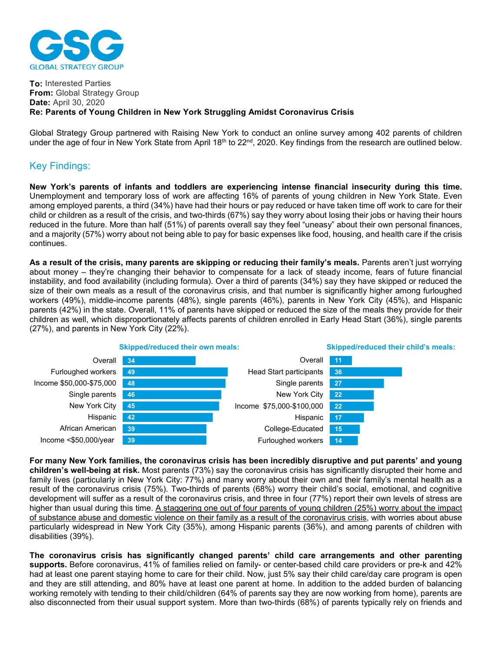

## **To:** Interested Parties **From:** Global Strategy Group **Date:** April 30, 2020 **Re: Parents of Young Children in New York Struggling Amidst Coronavirus Crisis**

Global Strategy Group partnered with Raising New York to conduct an online survey among 402 parents of children under the age of four in New York State from April 18<sup>th</sup> to 22<sup>nd</sup>, 2020. Key findings from the research are outlined below.

## Key Findings:

**New York's parents of infants and toddlers are experiencing intense financial insecurity during this time.**  Unemployment and temporary loss of work are affecting 16% of parents of young children in New York State. Even among employed parents, a third (34%) have had their hours or pay reduced or have taken time off work to care for their child or children as a result of the crisis, and two-thirds (67%) say they worry about losing their jobs or having their hours reduced in the future. More than half (51%) of parents overall say they feel "uneasy" about their own personal finances, and a majority (57%) worry about not being able to pay for basic expenses like food, housing, and health care if the crisis continues.

**As a result of the crisis, many parents are skipping or reducing their family's meals.** Parents aren't just worrying about money – they're changing their behavior to compensate for a lack of steady income, fears of future financial instability, and food availability (including formula). Over a third of parents (34%) say they have skipped or reduced the size of their own meals as a result of the coronavirus crisis, and that number is significantly higher among furloughed workers (49%), middle-income parents (48%), single parents (46%), parents in New York City (45%), and Hispanic parents (42%) in the state. Overall, 11% of parents have skipped or reduced the size of the meals they provide for their children as well, which disproportionately affects parents of children enrolled in Early Head Start (36%), single parents (27%), and parents in New York City (22%).



**For many New York families, the coronavirus crisis has been incredibly disruptive and put parents' and young children's well-being at risk.** Most parents (73%) say the coronavirus crisis has significantly disrupted their home and family lives (particularly in New York City: 77%) and many worry about their own and their family's mental health as a result of the coronavirus crisis (75%). Two-thirds of parents (68%) worry their child's social, emotional, and cognitive development will suffer as a result of the coronavirus crisis, and three in four (77%) report their own levels of stress are higher than usual during this time. A staggering one out of four parents of young children (25%) worry about the impact of substance abuse and domestic violence on their family as a result of the coronavirus crisis, with worries about abuse particularly widespread in New York City (35%), among Hispanic parents (36%), and among parents of children with disabilities (39%).

**The coronavirus crisis has significantly changed parents' child care arrangements and other parenting supports.** Before coronavirus, 41% of families relied on family- or center-based child care providers or pre-k and 42% had at least one parent staying home to care for their child. Now, just 5% say their child care/day care program is open and they are still attending, and 80% have at least one parent at home. In addition to the added burden of balancing working remotely with tending to their child/children (64% of parents say they are now working from home), parents are also disconnected from their usual support system. More than two-thirds (68%) of parents typically rely on friends and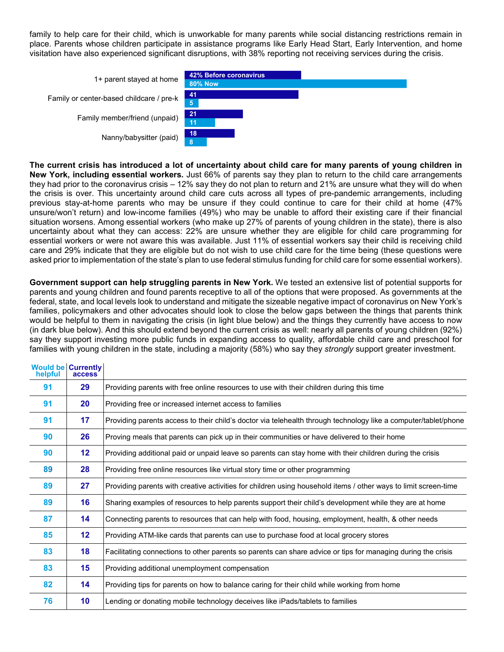family to help care for their child, which is unworkable for many parents while social distancing restrictions remain in place. Parents whose children participate in assistance programs like Early Head Start, Early Intervention, and home visitation have also experienced significant disruptions, with 38% reporting not receiving services during the crisis.

| 1+ parent stayed at home                 | 42% Before coronavirus<br><b>80% Now</b> |  |
|------------------------------------------|------------------------------------------|--|
| Family or center-based childcare / pre-k | -41<br>5,                                |  |
| Family member/friend (unpaid)            | 21<br>11                                 |  |
| Nanny/babysitter (paid)                  | 18<br>8                                  |  |

**The current crisis has introduced a lot of uncertainty about child care for many parents of young children in New York, including essential workers.** Just 66% of parents say they plan to return to the child care arrangements they had prior to the coronavirus crisis – 12% say they do not plan to return and 21% are unsure what they will do when the crisis is over. This uncertainty around child care cuts across all types of pre-pandemic arrangements, including previous stay-at-home parents who may be unsure if they could continue to care for their child at home (47% unsure/won't return) and low-income families (49%) who may be unable to afford their existing care if their financial situation worsens. Among essential workers (who make up 27% of parents of young children in the state), there is also uncertainty about what they can access: 22% are unsure whether they are eligible for child care programming for essential workers or were not aware this was available. Just 11% of essential workers say their child is receiving child care and 29% indicate that they are eligible but do not wish to use child care for the time being (these questions were asked prior to implementation of the state's plan to use federal stimulus funding for child care for some essential workers).

**Government support can help struggling parents in New York.** We tested an extensive list of potential supports for parents and young children and found parents receptive to all of the options that were proposed. As governments at the federal, state, and local levels look to understand and mitigate the sizeable negative impact of coronavirus on New York's families, policymakers and other advocates should look to close the below gaps between the things that parents think would be helpful to them in navigating the crisis (in light blue below) and the things they currently have access to now (in dark blue below). And this should extend beyond the current crisis as well: nearly all parents of young children (92%) say they support investing more public funds in expanding access to quality, affordable child care and preschool for families with young children in the state, including a majority (58%) who say they *strongly* support greater investment.

| helpful | <b>Would be Currently</b><br>access <sup>®</sup> |                                                                                                                 |  |
|---------|--------------------------------------------------|-----------------------------------------------------------------------------------------------------------------|--|
| 91      | 29                                               | Providing parents with free online resources to use with their children during this time                        |  |
| 91      | 20                                               | Providing free or increased internet access to families                                                         |  |
| 91      | 17                                               | Providing parents access to their child's doctor via telehealth through technology like a computer/tablet/phone |  |
| 90      | 26                                               | Proving meals that parents can pick up in their communities or have delivered to their home                     |  |
| 90      | 12                                               | Providing additional paid or unpaid leave so parents can stay home with their children during the crisis        |  |
| 89      | 28                                               | Providing free online resources like virtual story time or other programming                                    |  |
| 89      | 27                                               | Providing parents with creative activities for children using household items / other ways to limit screen-time |  |
| 89      | 16                                               | Sharing examples of resources to help parents support their child's development while they are at home          |  |
| 87      | 14                                               | Connecting parents to resources that can help with food, housing, employment, health, & other needs             |  |
| 85      | 12                                               | Providing ATM-like cards that parents can use to purchase food at local grocery stores                          |  |
| 83      | 18                                               | Facilitating connections to other parents so parents can share advice or tips for managing during the crisis    |  |
| 83      | 15                                               | Providing additional unemployment compensation                                                                  |  |
| 82      | 14                                               | Providing tips for parents on how to balance caring for their child while working from home                     |  |
| 76      | 10                                               | Lending or donating mobile technology deceives like iPads/tablets to families                                   |  |